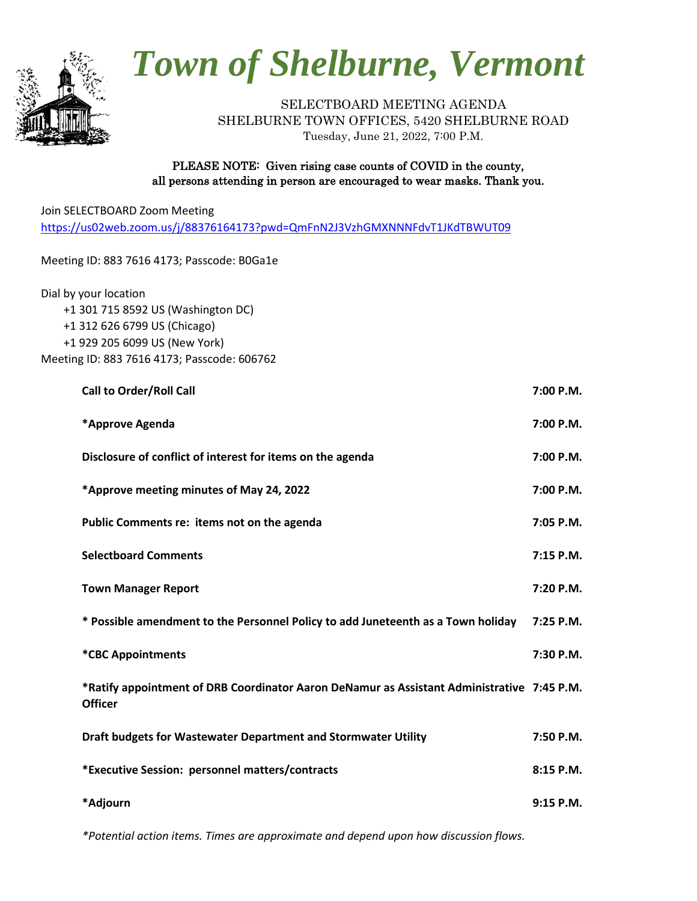

# *Town of Shelburne, Vermont*

SELECTBOARD MEETING AGENDA SHELBURNE TOWN OFFICES, 5420 SHELBURNE ROAD Tuesday, June 21, 2022, 7:00 P.M.

#### PLEASE NOTE: Given rising case counts of COVID in the county, all persons attending in person are encouraged to wear masks. Thank you.

Join SELECTBOARD Zoom Meeting <https://us02web.zoom.us/j/88376164173?pwd=QmFnN2J3VzhGMXNNNFdvT1JKdTBWUT09>

Meeting ID: 883 7616 4173; Passcode: B0Ga1e

Dial by your location +1 301 715 8592 US (Washington DC) +1 312 626 6799 US (Chicago) +1 929 205 6099 US (New York) Meeting ID: 883 7616 4173; Passcode: 606762

| <b>Call to Order/Roll Call</b>                                                                               | 7:00 P.M. |
|--------------------------------------------------------------------------------------------------------------|-----------|
| *Approve Agenda                                                                                              | 7:00 P.M. |
| Disclosure of conflict of interest for items on the agenda                                                   | 7:00 P.M. |
| *Approve meeting minutes of May 24, 2022                                                                     | 7:00 P.M. |
| Public Comments re: items not on the agenda                                                                  | 7:05 P.M. |
| <b>Selectboard Comments</b>                                                                                  | 7:15 P.M. |
| <b>Town Manager Report</b>                                                                                   | 7:20 P.M. |
| * Possible amendment to the Personnel Policy to add Juneteenth as a Town holiday                             | 7:25 P.M. |
| *CBC Appointments                                                                                            | 7:30 P.M. |
| *Ratify appointment of DRB Coordinator Aaron DeNamur as Assistant Administrative 7:45 P.M.<br><b>Officer</b> |           |
| Draft budgets for Wastewater Department and Stormwater Utility                                               | 7:50 P.M. |
| *Executive Session: personnel matters/contracts                                                              | 8:15 P.M. |
| *Adjourn                                                                                                     | 9:15 P.M. |
| *Potential action items. Times are approximate and depend upon how discussion flows.                         |           |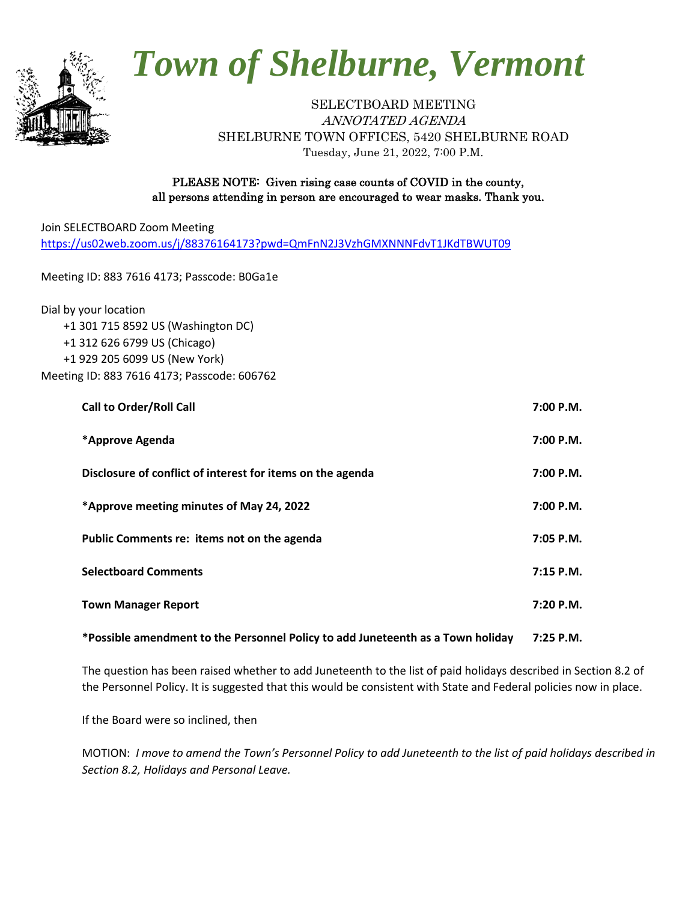

# *Town of Shelburne, Vermont*

SELECTBOARD MEETING ANNOTATED AGENDA SHELBURNE TOWN OFFICES, 5420 SHELBURNE ROAD Tuesday, June 21, 2022, 7:00 P.M.

#### PLEASE NOTE: Given rising case counts of COVID in the county, all persons attending in person are encouraged to wear masks. Thank you.

Join SELECTBOARD Zoom Meeting <https://us02web.zoom.us/j/88376164173?pwd=QmFnN2J3VzhGMXNNNFdvT1JKdTBWUT09>

Meeting ID: 883 7616 4173; Passcode: B0Ga1e

Dial by your location +1 301 715 8592 US (Washington DC) +1 312 626 6799 US (Chicago) +1 929 205 6099 US (New York) Meeting ID: 883 7616 4173; Passcode: 606762

| <b>Call to Order/Roll Call</b>                                                  | 7:00 P.M.   |
|---------------------------------------------------------------------------------|-------------|
| *Approve Agenda                                                                 | 7:00 P.M.   |
| Disclosure of conflict of interest for items on the agenda                      | 7:00 P.M.   |
| *Approve meeting minutes of May 24, 2022                                        | 7:00 P.M.   |
| Public Comments re: items not on the agenda                                     | $7:05$ P.M. |
| <b>Selectboard Comments</b>                                                     | 7:15 P.M.   |
| <b>Town Manager Report</b>                                                      | 7:20 P.M.   |
| *Possible amendment to the Personnel Policy to add Juneteenth as a Town holiday | $7:25$ P.M. |

The question has been raised whether to add Juneteenth to the list of paid holidays described in Section 8.2 of the Personnel Policy. It is suggested that this would be consistent with State and Federal policies now in place.

If the Board were so inclined, then

MOTION: *I move to amend the Town's Personnel Policy to add Juneteenth to the list of paid holidays described in Section 8.2, Holidays and Personal Leave.*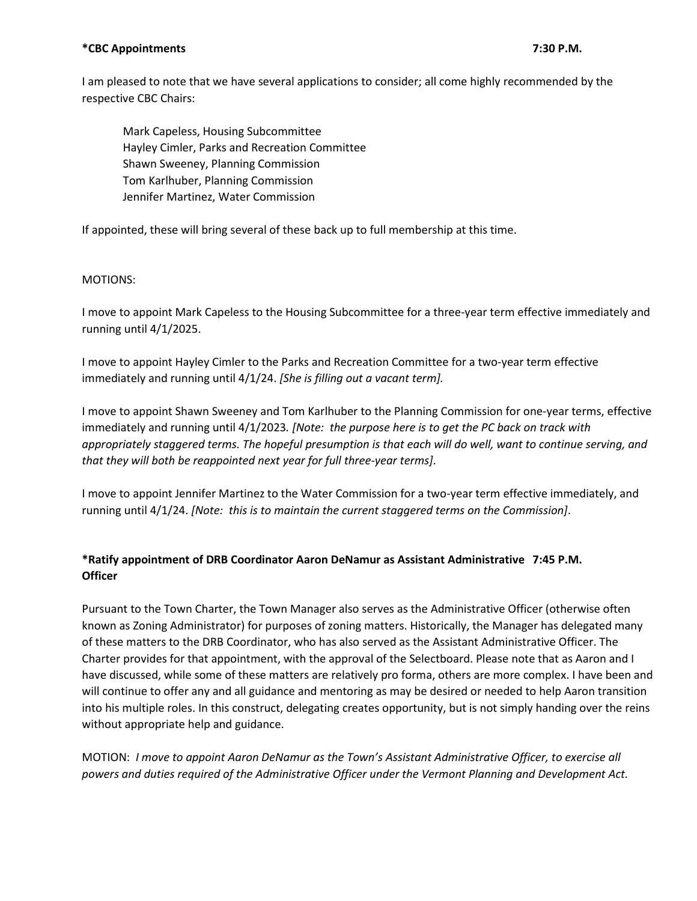#### **\*CBC Appointments 7:30 P.M.**

I am pleased to note that we have several applications to consider; all come highly recommended by the respective CBC Chairs:

Mark Capeless, Housing Subcommittee Hayley Cimler, Parks and Recreation Committee Shawn Sweeney, Planning Commission Tom Karlhuber, Planning Commission Jennifer Martinez, Water Commission

If appointed, these will bring several of these back up to full membership at this time.

#### MOTIONS:

I move to appoint Mark Capeless to the Housing Subcommittee for a three-year term effective immediately and running until 4/1/2025.

I move to appoint Hayley Cimler to the Parks and Recreation Committee for a two-year term effective immediately and running until 4/1/24. *[She is filling out a vacant term].*

I move to appoint Shawn Sweeney and Tom Karlhuber to the Planning Commission for one-year terms, effective immediately and running until 4/1/2023*. [Note: the purpose here is to get the PC back on track with appropriately staggered terms. The hopeful presumption is that each will do well, want to continue serving, and that they will both be reappointed next year for full three-year terms]*.

I move to appoint Jennifer Martinez to the Water Commission for a two-year term effective immediately, and running until 4/1/24. *[Note: this is to maintain the current staggered terms on the Commission]*.

#### **\*Ratify appointment of DRB Coordinator Aaron DeNamur as Assistant Administrative 7:45 P.M. Officer**

Pursuant to the Town Charter, the Town Manager also serves as the Administrative Officer (otherwise often known as Zoning Administrator) for purposes of zoning matters. Historically, the Manager has delegated many of these matters to the DRB Coordinator, who has also served as the Assistant Administrative Officer. The Charter provides for that appointment, with the approval of the Selectboard. Please note that as Aaron and I have discussed, while some of these matters are relatively pro forma, others are more complex. I have been and will continue to offer any and all guidance and mentoring as may be desired or needed to help Aaron transition into his multiple roles. In this construct, delegating creates opportunity, but is not simply handing over the reins without appropriate help and guidance.

MOTION: *I move to appoint Aaron DeNamur as the Town's Assistant Administrative Officer, to exercise all powers and duties required of the Administrative Officer under the Vermont Planning and Development Act.*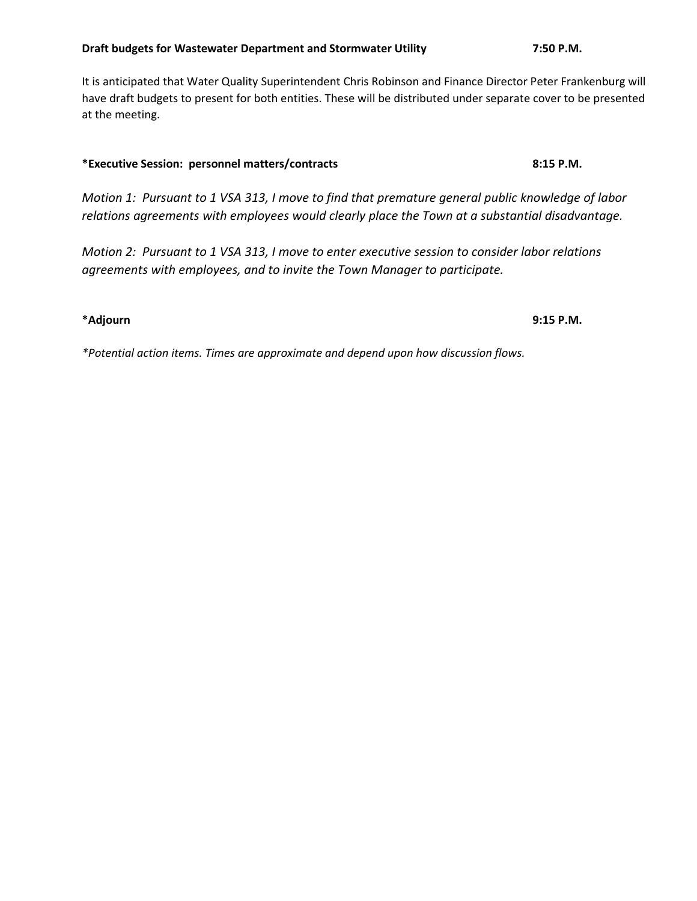It is anticipated that Water Quality Superintendent Chris Robinson and Finance Director Peter Frankenburg will have draft budgets to present for both entities. These will be distributed under separate cover to be presented at the meeting.

#### **\*Executive Session: personnel matters/contracts 8:15 P.M.**

*Motion 1: Pursuant to 1 VSA 313, I move to find that premature general public knowledge of labor relations agreements with employees would clearly place the Town at a substantial disadvantage.*

*Motion 2: Pursuant to 1 VSA 313, I move to enter executive session to consider labor relations agreements with employees, and to invite the Town Manager to participate.*

*\*Potential action items. Times are approximate and depend upon how discussion flows.*

**\*Adjourn 9:15 P.M.**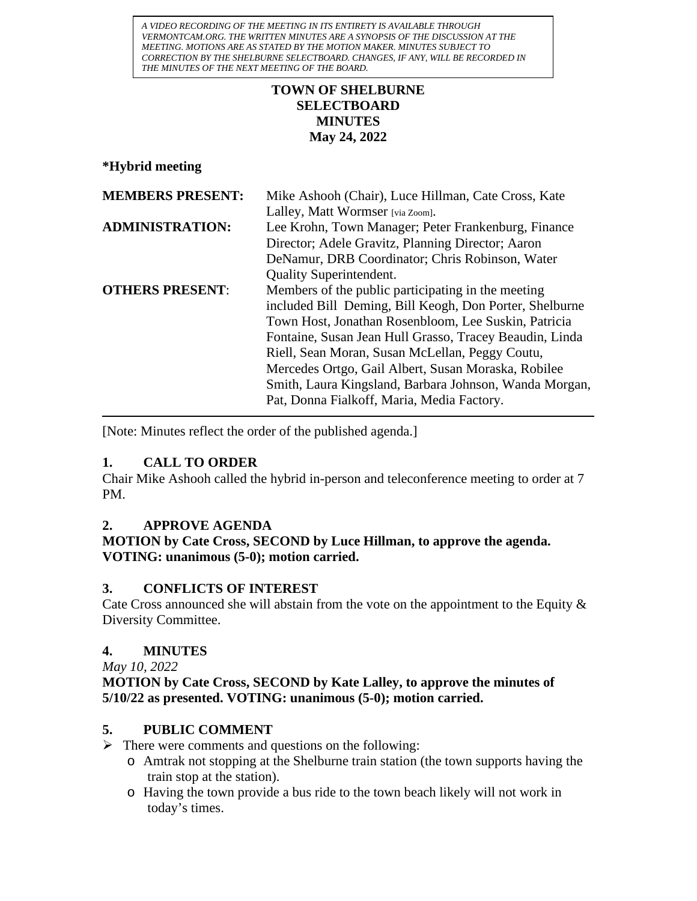*A VIDEO RECORDING OF THE MEETING IN ITS ENTIRETY IS AVAILABLE THROUGH VERMONTCAM.ORG. THE WRITTEN MINUTES ARE A SYNOPSIS OF THE DISCUSSION AT THE MEETING. MOTIONS ARE AS STATED BY THE MOTION MAKER. MINUTES SUBJECT TO CORRECTION BY THE SHELBURNE SELECTBOARD. CHANGES, IF ANY, WILL BE RECORDED IN THE MINUTES OF THE NEXT MEETING OF THE BOARD.*

## **TOWN OF SHELBURNE SELECTBOARD MINUTES May 24, 2022**

**\*Hybrid meeting**

| <b>MEMBERS PRESENT:</b> | Mike Ashooh (Chair), Luce Hillman, Cate Cross, Kate     |
|-------------------------|---------------------------------------------------------|
|                         | Lalley, Matt Wormser [via Zoom].                        |
| <b>ADMINISTRATION:</b>  | Lee Krohn, Town Manager; Peter Frankenburg, Finance     |
|                         | Director; Adele Gravitz, Planning Director; Aaron       |
|                         | DeNamur, DRB Coordinator; Chris Robinson, Water         |
|                         | <b>Quality Superintendent.</b>                          |
| <b>OTHERS PRESENT:</b>  | Members of the public participating in the meeting      |
|                         | included Bill Deming, Bill Keogh, Don Porter, Shelburne |
|                         | Town Host, Jonathan Rosenbloom, Lee Suskin, Patricia    |
|                         | Fontaine, Susan Jean Hull Grasso, Tracey Beaudin, Linda |
|                         | Riell, Sean Moran, Susan McLellan, Peggy Coutu,         |
|                         | Mercedes Ortgo, Gail Albert, Susan Moraska, Robilee     |
|                         | Smith, Laura Kingsland, Barbara Johnson, Wanda Morgan,  |
|                         | Pat, Donna Fialkoff, Maria, Media Factory.              |
|                         |                                                         |

[Note: Minutes reflect the order of the published agenda.]

# **1. CALL TO ORDER**

Chair Mike Ashooh called the hybrid in-person and teleconference meeting to order at 7 PM.

# **2. APPROVE AGENDA**

### **MOTION by Cate Cross, SECOND by Luce Hillman, to approve the agenda. VOTING: unanimous (5-0); motion carried.**

# **3. CONFLICTS OF INTEREST**

Cate Cross announced she will abstain from the vote on the appointment to the Equity  $\&$ Diversity Committee.

# **4. MINUTES**

*May 10, 2022*

**MOTION by Cate Cross, SECOND by Kate Lalley, to approve the minutes of 5/10/22 as presented. VOTING: unanimous (5-0); motion carried.**

# **5. PUBLIC COMMENT**

 $\triangleright$  There were comments and questions on the following:

- o Amtrak not stopping at the Shelburne train station (the town supports having the train stop at the station).
- o Having the town provide a bus ride to the town beach likely will not work in today's times.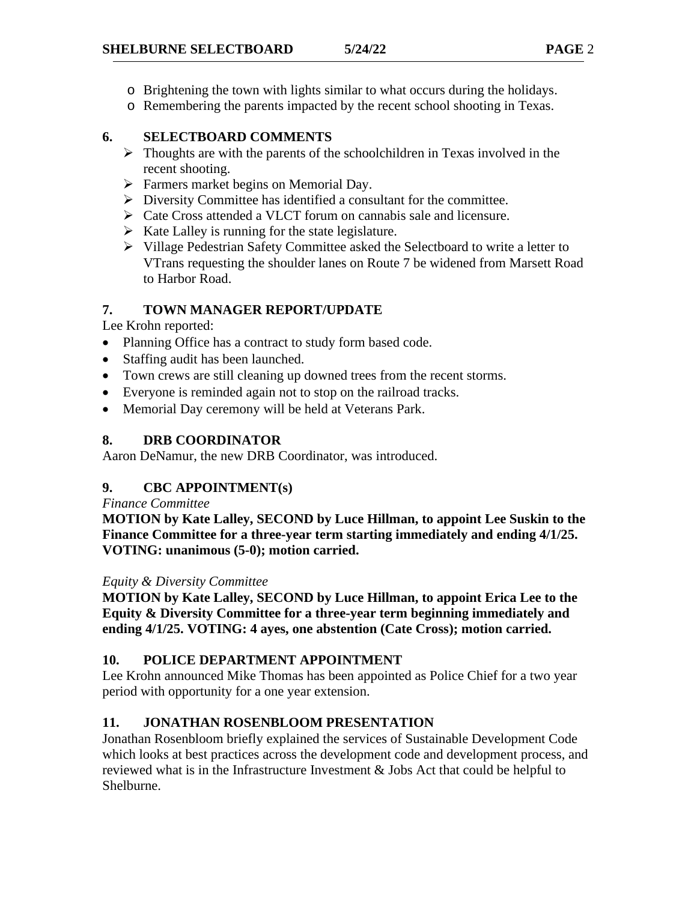- o Brightening the town with lights similar to what occurs during the holidays.
- o Remembering the parents impacted by the recent school shooting in Texas.

# **6. SELECTBOARD COMMENTS**

- $\triangleright$  Thoughts are with the parents of the schoolchildren in Texas involved in the recent shooting.
- Farmers market begins on Memorial Day.
- Diversity Committee has identified a consultant for the committee.
- Cate Cross attended a VLCT forum on cannabis sale and licensure.
- $\triangleright$  Kate Lalley is running for the state legislature.
- Village Pedestrian Safety Committee asked the Selectboard to write a letter to VTrans requesting the shoulder lanes on Route 7 be widened from Marsett Road to Harbor Road.

# **7. TOWN MANAGER REPORT/UPDATE**

Lee Krohn reported:

- Planning Office has a contract to study form based code.
- Staffing audit has been launched.
- Town crews are still cleaning up downed trees from the recent storms.
- Everyone is reminded again not to stop on the railroad tracks.
- Memorial Day ceremony will be held at Veterans Park.

# **8. DRB COORDINATOR**

Aaron DeNamur, the new DRB Coordinator, was introduced.

# **9. CBC APPOINTMENT(s)**

*Finance Committee*

**MOTION by Kate Lalley, SECOND by Luce Hillman, to appoint Lee Suskin to the Finance Committee for a three-year term starting immediately and ending 4/1/25. VOTING: unanimous (5-0); motion carried.**

# *Equity & Diversity Committee*

**MOTION by Kate Lalley, SECOND by Luce Hillman, to appoint Erica Lee to the Equity & Diversity Committee for a three-year term beginning immediately and ending 4/1/25. VOTING: 4 ayes, one abstention (Cate Cross); motion carried.**

# **10. POLICE DEPARTMENT APPOINTMENT**

Lee Krohn announced Mike Thomas has been appointed as Police Chief for a two year period with opportunity for a one year extension.

# **11. JONATHAN ROSENBLOOM PRESENTATION**

Jonathan Rosenbloom briefly explained the services of Sustainable Development Code which looks at best practices across the development code and development process, and reviewed what is in the Infrastructure Investment & Jobs Act that could be helpful to Shelburne.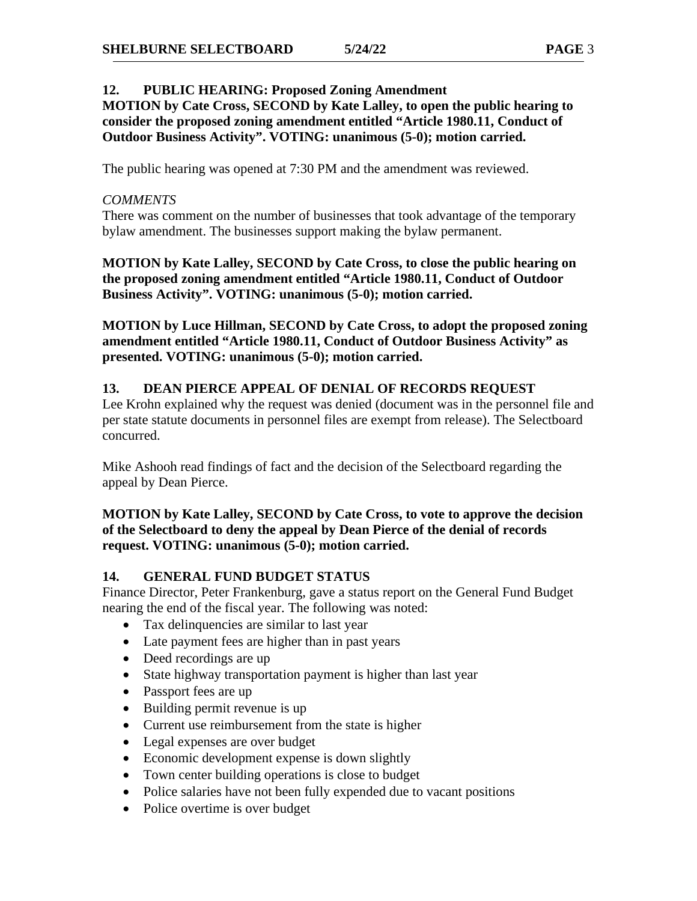## **12. PUBLIC HEARING: Proposed Zoning Amendment**

**MOTION by Cate Cross, SECOND by Kate Lalley, to open the public hearing to consider the proposed zoning amendment entitled "Article 1980.11, Conduct of Outdoor Business Activity". VOTING: unanimous (5-0); motion carried.**

The public hearing was opened at 7:30 PM and the amendment was reviewed.

#### *COMMENTS*

There was comment on the number of businesses that took advantage of the temporary bylaw amendment. The businesses support making the bylaw permanent.

**MOTION by Kate Lalley, SECOND by Cate Cross, to close the public hearing on the proposed zoning amendment entitled "Article 1980.11, Conduct of Outdoor Business Activity". VOTING: unanimous (5-0); motion carried.**

**MOTION by Luce Hillman, SECOND by Cate Cross, to adopt the proposed zoning amendment entitled "Article 1980.11, Conduct of Outdoor Business Activity" as presented. VOTING: unanimous (5-0); motion carried.**

### **13. DEAN PIERCE APPEAL OF DENIAL OF RECORDS REQUEST**

Lee Krohn explained why the request was denied (document was in the personnel file and per state statute documents in personnel files are exempt from release). The Selectboard concurred.

Mike Ashooh read findings of fact and the decision of the Selectboard regarding the appeal by Dean Pierce.

**MOTION by Kate Lalley, SECOND by Cate Cross, to vote to approve the decision of the Selectboard to deny the appeal by Dean Pierce of the denial of records request. VOTING: unanimous (5-0); motion carried.**

### **14. GENERAL FUND BUDGET STATUS**

Finance Director, Peter Frankenburg, gave a status report on the General Fund Budget nearing the end of the fiscal year. The following was noted:

- Tax delinquencies are similar to last year
- Late payment fees are higher than in past years
- Deed recordings are up
- State highway transportation payment is higher than last year
- Passport fees are up
- Building permit revenue is up
- Current use reimbursement from the state is higher
- Legal expenses are over budget
- Economic development expense is down slightly
- Town center building operations is close to budget
- Police salaries have not been fully expended due to vacant positions
- Police overtime is over budget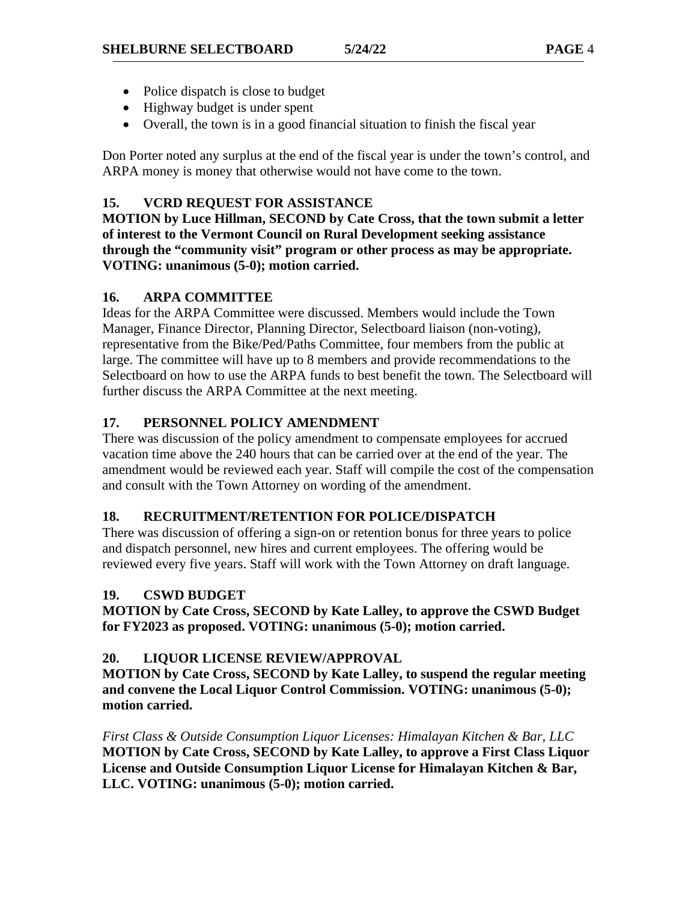- Police dispatch is close to budget
- Highway budget is under spent
- Overall, the town is in a good financial situation to finish the fiscal year

Don Porter noted any surplus at the end of the fiscal year is under the town's control, and ARPA money is money that otherwise would not have come to the town.

# **15. VCRD REQUEST FOR ASSISTANCE**

**MOTION by Luce Hillman, SECOND by Cate Cross, that the town submit a letter of interest to the Vermont Council on Rural Development seeking assistance through the "community visit" program or other process as may be appropriate. VOTING: unanimous (5-0); motion carried.**

# **16. ARPA COMMITTEE**

Ideas for the ARPA Committee were discussed. Members would include the Town Manager, Finance Director, Planning Director, Selectboard liaison (non-voting), representative from the Bike/Ped/Paths Committee, four members from the public at large. The committee will have up to 8 members and provide recommendations to the Selectboard on how to use the ARPA funds to best benefit the town. The Selectboard will further discuss the ARPA Committee at the next meeting.

# **17. PERSONNEL POLICY AMENDMENT**

There was discussion of the policy amendment to compensate employees for accrued vacation time above the 240 hours that can be carried over at the end of the year. The amendment would be reviewed each year. Staff will compile the cost of the compensation and consult with the Town Attorney on wording of the amendment.

# **18. RECRUITMENT/RETENTION FOR POLICE/DISPATCH**

There was discussion of offering a sign-on or retention bonus for three years to police and dispatch personnel, new hires and current employees. The offering would be reviewed every five years. Staff will work with the Town Attorney on draft language.

# **19. CSWD BUDGET**

**MOTION by Cate Cross, SECOND by Kate Lalley, to approve the CSWD Budget for FY2023 as proposed. VOTING: unanimous (5-0); motion carried.**

# **20. LIQUOR LICENSE REVIEW/APPROVAL**

**MOTION by Cate Cross, SECOND by Kate Lalley, to suspend the regular meeting and convene the Local Liquor Control Commission. VOTING: unanimous (5-0); motion carried.**

*First Class & Outside Consumption Liquor Licenses: Himalayan Kitchen & Bar, LLC* **MOTION by Cate Cross, SECOND by Kate Lalley, to approve a First Class Liquor License and Outside Consumption Liquor License for Himalayan Kitchen & Bar, LLC. VOTING: unanimous (5-0); motion carried.**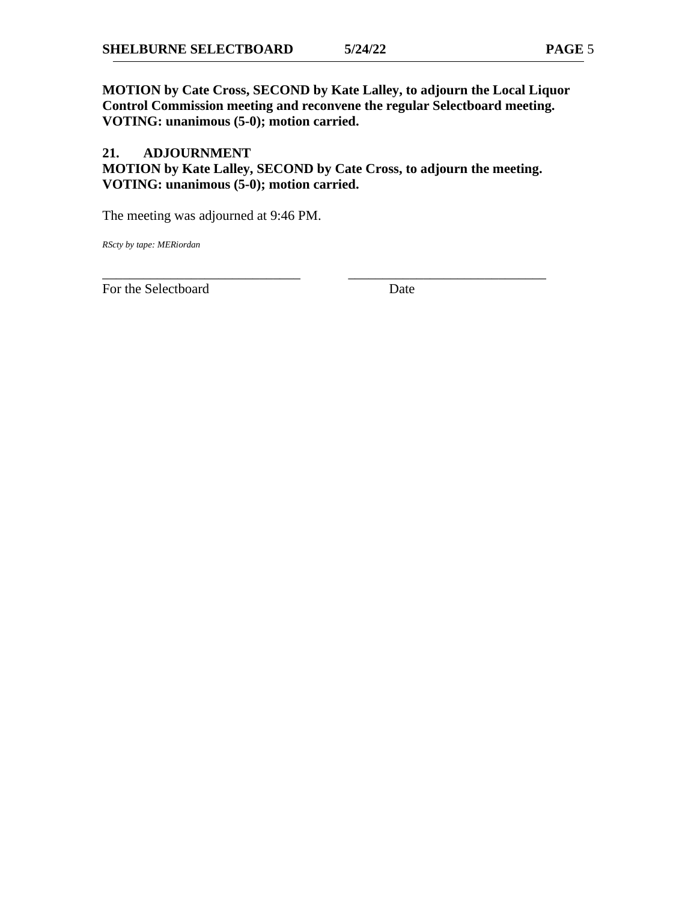**MOTION by Cate Cross, SECOND by Kate Lalley, to adjourn the Local Liquor Control Commission meeting and reconvene the regular Selectboard meeting. VOTING: unanimous (5-0); motion carried.**

### **21. ADJOURNMENT**

**MOTION by Kate Lalley, SECOND by Cate Cross, to adjourn the meeting. VOTING: unanimous (5-0); motion carried.**

\_\_\_\_\_\_\_\_\_\_\_\_\_\_\_\_\_\_\_\_\_\_\_\_\_\_\_\_\_ \_\_\_\_\_\_\_\_\_\_\_\_\_\_\_\_\_\_\_\_\_\_\_\_\_\_\_\_\_

The meeting was adjourned at 9:46 PM.

*RScty by tape: MERiordan*

For the Selectboard Date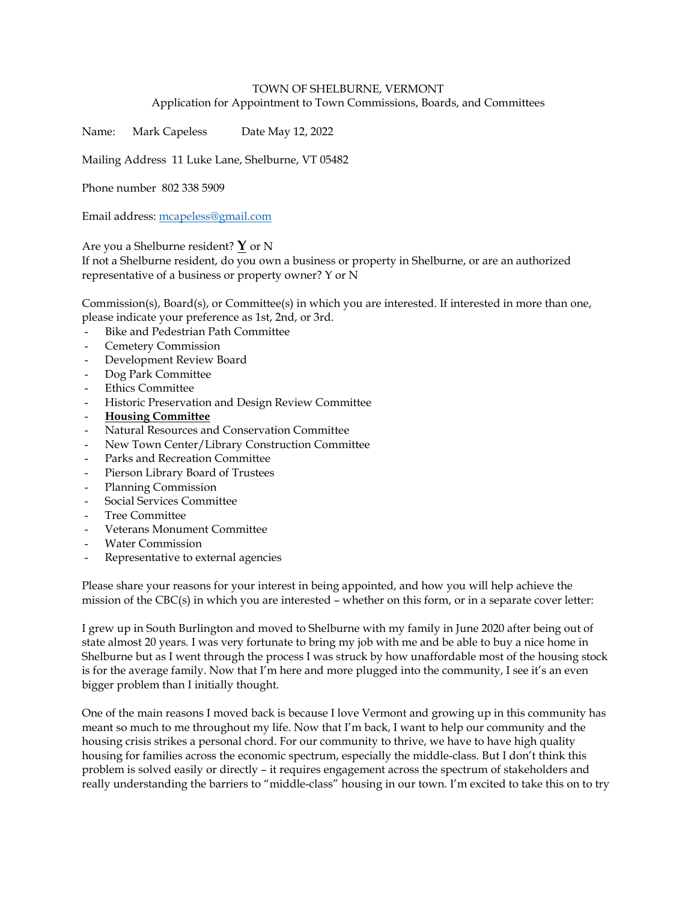#### TOWN OF SHELBURNE, VERMONT Application for Appointment to Town Commissions, Boards, and Committees

Name: Mark Capeless Date May 12, 2022

Mailing Address 11 Luke Lane, Shelburne, VT 05482

Phone number 802 338 5909

Email address[: mcapeless@gmail.com](mailto:mcapeless@gmail.com)

Are you a Shelburne resident? **Y** or N

If not a Shelburne resident, do you own a business or property in Shelburne, or are an authorized representative of a business or property owner? Y or N

Commission(s), Board(s), or Committee(s) in which you are interested. If interested in more than one, please indicate your preference as 1st, 2nd, or 3rd.

- Bike and Pedestrian Path Committee
- Cemetery Commission
- Development Review Board
- Dog Park Committee
- Ethics Committee
- Historic Preservation and Design Review Committee
- **Housing Committee**
- Natural Resources and Conservation Committee
- New Town Center/Library Construction Committee
- Parks and Recreation Committee
- Pierson Library Board of Trustees
- Planning Commission
- Social Services Committee
- Tree Committee
- Veterans Monument Committee
- Water Commission
- Representative to external agencies

Please share your reasons for your interest in being appointed, and how you will help achieve the mission of the CBC(s) in which you are interested – whether on this form, or in a separate cover letter:

I grew up in South Burlington and moved to Shelburne with my family in June 2020 after being out of state almost 20 years. I was very fortunate to bring my job with me and be able to buy a nice home in Shelburne but as I went through the process I was struck by how unaffordable most of the housing stock is for the average family. Now that I'm here and more plugged into the community, I see it's an even bigger problem than I initially thought.

One of the main reasons I moved back is because I love Vermont and growing up in this community has meant so much to me throughout my life. Now that I'm back, I want to help our community and the housing crisis strikes a personal chord. For our community to thrive, we have to have high quality housing for families across the economic spectrum, especially the middle-class. But I don't think this problem is solved easily or directly – it requires engagement across the spectrum of stakeholders and really understanding the barriers to "middle-class" housing in our town. I'm excited to take this on to try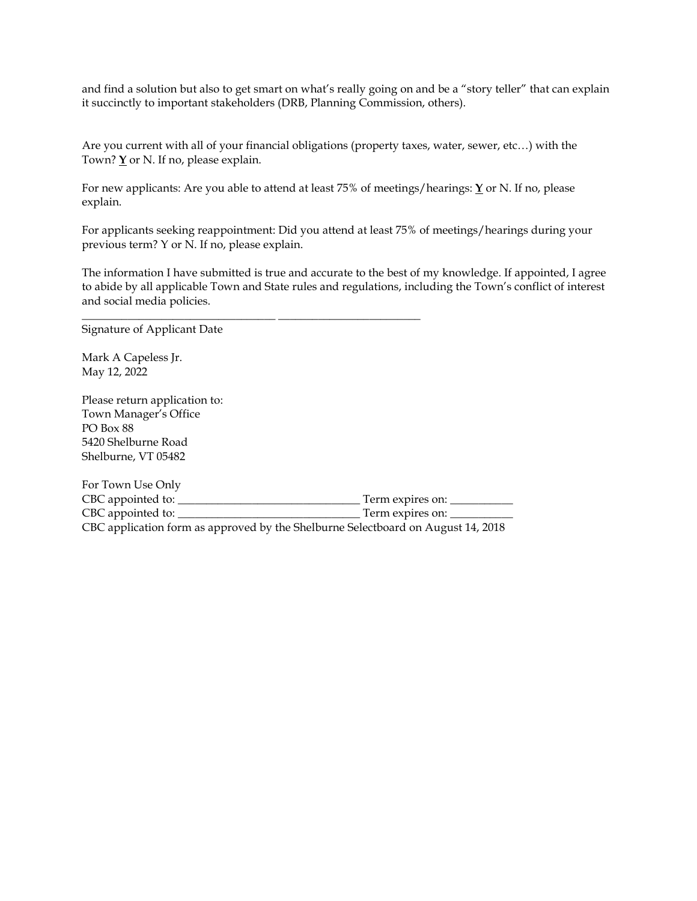and find a solution but also to get smart on what's really going on and be a "story teller" that can explain it succinctly to important stakeholders (DRB, Planning Commission, others).

Are you current with all of your financial obligations (property taxes, water, sewer, etc…) with the Town? **Y** or N. If no, please explain.

For new applicants: Are you able to attend at least 75% of meetings/hearings: **Y** or N. If no, please explain.

For applicants seeking reappointment: Did you attend at least 75% of meetings/hearings during your previous term? Y or N. If no, please explain.

The information I have submitted is true and accurate to the best of my knowledge. If appointed, I agree to abide by all applicable Town and State rules and regulations, including the Town's conflict of interest and social media policies.

Signature of Applicant Date

Mark A Capeless Jr. May 12, 2022

Please return application to: Town Manager's Office PO Box 88 5420 Shelburne Road Shelburne, VT 05482

For Town Use Only CBC appointed to: \_\_\_\_\_\_\_\_\_\_\_\_\_\_\_\_\_\_\_\_\_\_\_\_\_\_\_\_\_\_\_\_ Term expires on: \_\_\_\_\_\_\_\_\_\_\_ CBC appointed to: \_\_\_\_\_\_\_\_\_\_\_\_\_\_\_\_\_\_\_\_\_\_\_\_\_\_\_\_\_\_\_\_ Term expires on: \_\_\_\_\_\_\_\_\_\_\_ CBC application form as approved by the Shelburne Selectboard on August 14, 2018

\_\_\_\_\_\_\_\_\_\_\_\_\_\_\_\_\_\_\_\_\_\_\_\_\_\_\_\_\_\_\_\_\_\_ \_\_\_\_\_\_\_\_\_\_\_\_\_\_\_\_\_\_\_\_\_\_\_\_\_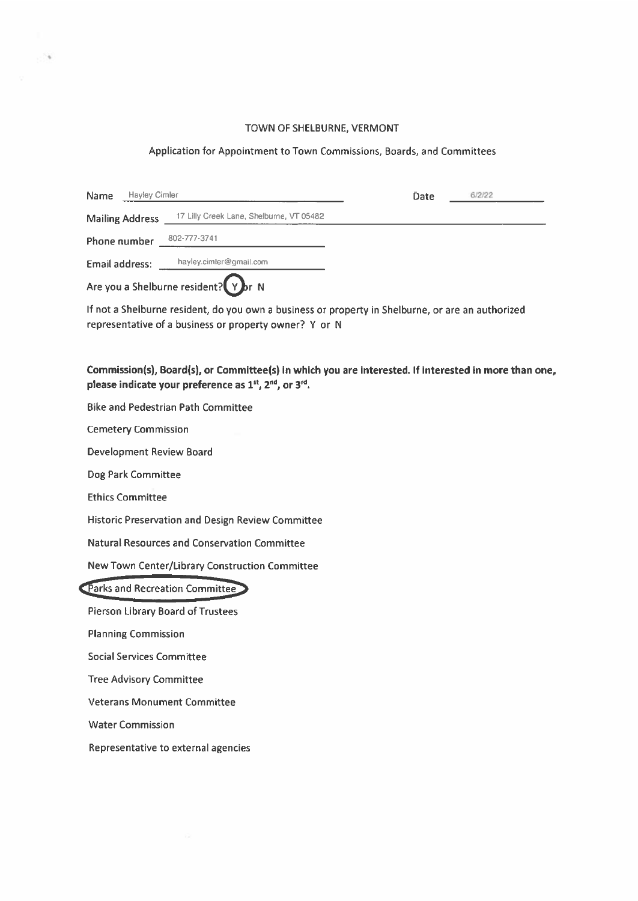# TOWN OF SHELBURNE, VERMONT

# Application for Appointment to Town Commissions, Boards, and Committees

| <b>Hayley Cimler</b><br>Name                                                                                                                                  | Date | 6/2/22 |
|---------------------------------------------------------------------------------------------------------------------------------------------------------------|------|--------|
| Mailing Address _ 17 Lilly Creek Lane, Shelburne, VT 05482                                                                                                    |      |        |
| 802-777-3741<br>Phone number                                                                                                                                  |      |        |
| hayley.cimler@gmail.com<br>Email address:                                                                                                                     |      |        |
| Are you a Shelburne resident? Y<br>br N                                                                                                                       |      |        |
| If not a Shelburne resident, do you own a business or property in Shelburne, or are an authorized<br>representative of a business or property owner? Y or N   |      |        |
| Commission(s), Board(s), or Committee(s) in which you are interested. If interested in more than one,<br>please indicate your preference as 1st, 2nd, or 3rd. |      |        |
| <b>Bike and Pedestrian Path Committee</b>                                                                                                                     |      |        |
| <b>Cemetery Commission</b>                                                                                                                                    |      |        |
| <b>Development Review Board</b>                                                                                                                               |      |        |
| <b>Dog Park Committee</b>                                                                                                                                     |      |        |
| <b>Ethics Committee</b>                                                                                                                                       |      |        |
| <b>Historic Preservation and Design Review Committee</b>                                                                                                      |      |        |
| Natural Resources and Conservation Committee                                                                                                                  |      |        |
| New Town Center/Library Construction Committee                                                                                                                |      |        |
| Parks and Recreation Committee                                                                                                                                |      |        |
| <b>Pierson Library Board of Trustees</b>                                                                                                                      |      |        |
| <b>Planning Commission</b>                                                                                                                                    |      |        |
| <b>Social Services Committee</b>                                                                                                                              |      |        |
| <b>Tree Advisory Committee</b>                                                                                                                                |      |        |
| <b>Veterans Monument Committee</b>                                                                                                                            |      |        |

**Water Commission** 

 $\sim$ 

Representative to external agencies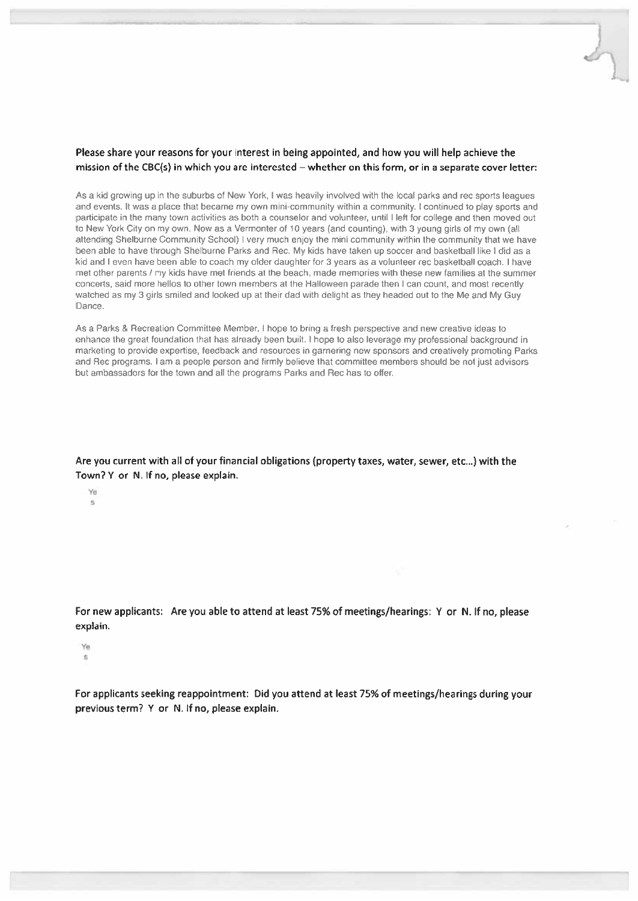#### Please share your reasons for your interest in being appointed, and how you will help achieve the mission of the CBC(s) in which you are interested – whether on this form, or in a separate cover letter:

As a kid growing up in the suburbs of New York, I was heavily involved with the local parks and rec sports leagues and events. It was a place that became my own mini-community within a community. I continued to play sports and participate in the many town activities as both a counselor and volunteer, until I left for college and then moved out to New York City on my own. Now as a Vermonter of 10 years (and counting), with 3 young girls of my own (all attending Shelburne Community School) I very much enjoy the mini community within the community that we have been able to have through Shelburne Parks and Rec. My kids have taken up soccer and basketball like I did as a kid and I even have been able to coach my older daughter for 3 years as a volunteer rec basketball coach. I have met other parents / my kids have met friends at the beach, made memories with these new families at the summer concerts, said more hellos to other town members at the Halloween parade then I can count, and most recently watched as my 3 girls smiled and looked up at their dad with delight as they headed out to the Me and My Guy Dance.

As a Parks & Recreation Committee Member, I hope to bring a fresh perspective and new creative ideas to enhance the great foundation that has already been built. I hope to also leverage my professional background in marketing to provide expertise, feedback and resources in garnering new sponsors and creatively promoting Parks and Rec programs. I am a people person and firmly believe that committee members should be not just advisors but ambassadors for the town and all the programs Parks and Rec has to offer.

#### Are you current with all of your financial obligations (property taxes, water, sewer, etc...) with the Town? Y or N. If no, please explain.

Ye  $\mathbf{g}$ 

For new applicants: Are you able to attend at least 75% of meetings/hearings: Y or N. If no, please explain.

Ye s

For applicants seeking reappointment: Did you attend at least 75% of meetings/hearings during your previous term? Y or N. If no, please explain.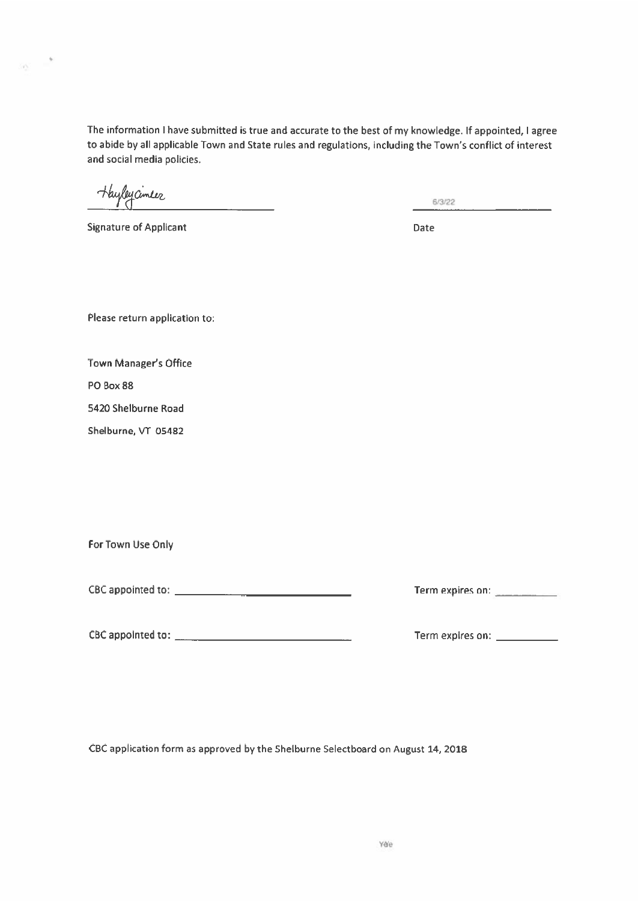The information I have submitted is true and accurate to the best of my knowledge. If appointed, I agree to abide by all applicable Town and State rules and regulations, including the Town's conflict of interest and social media policies.

Hayleycimeer

 $\omega_{\rm{N}}$  =  $^{\rm{8}}$ 

 $6/3/22$ 

**Signature of Applicant** 

Date

Please return application to:

**Town Manager's Office** 

PO Box 88

5420 Shelburne Road

Shelburne, VT 05482

For Town Use Only

Term expires on: \_\_\_\_\_\_\_\_\_\_\_\_\_

Term expires on: \_\_\_\_\_\_\_\_\_\_\_\_

CBC application form as approved by the Shelburne Selectboard on August 14, 2018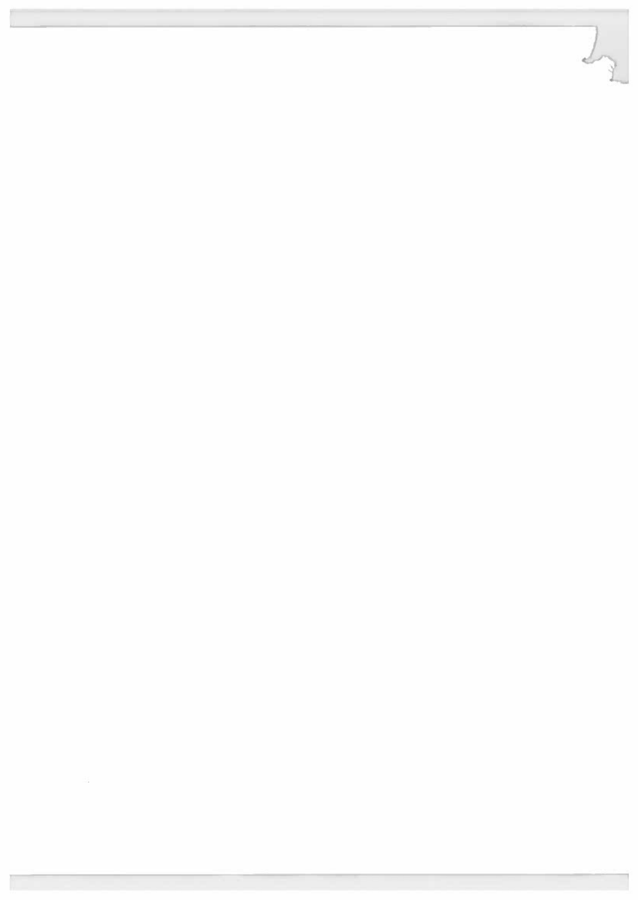<u> 1950 - Jan Barbara Barat III a Barbara a Tsara</u>  $\frac{1}{\sqrt{2}}$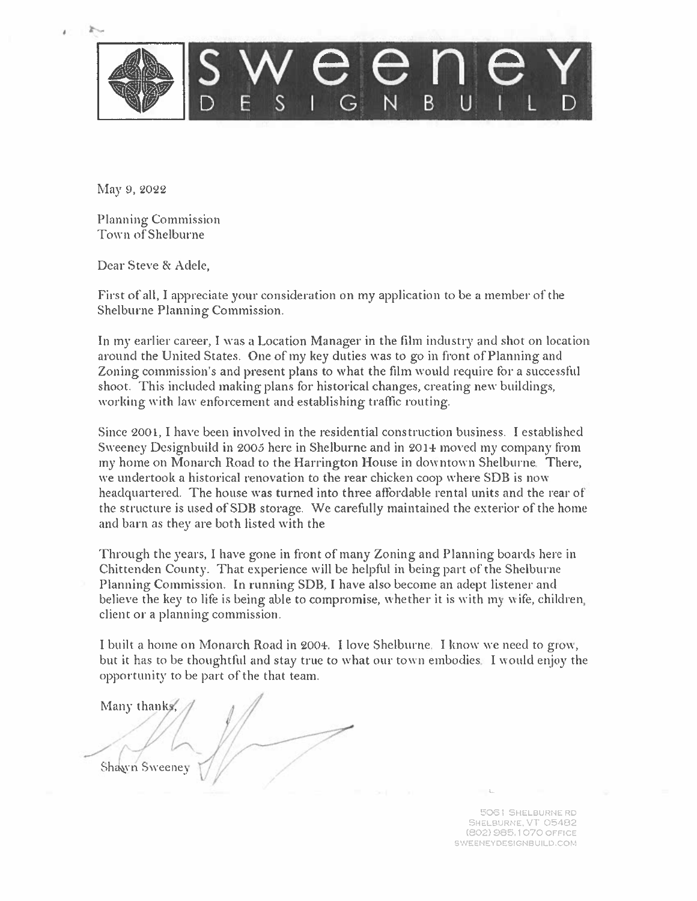

May 9, 2022

**Planning Commission** Town of Shelburne

Dear Steve & Adele,

First of all, I appreciate your consideration on my application to be a member of the Shelburne Planning Commission.

In my earlier career, I was a Location Manager in the film industry and shot on location around the United States. One of my key duties was to go in front of Planning and Zoning commission's and present plans to what the film would require for a successful shoot. This included making plans for historical changes, creating new buildings, working with law enforcement and establishing traffic routing.

Since 2001, I have been involved in the residential construction business. I established Sweeney Designbuild in 2005 here in Shelburne and in 2014 moved my company from my home on Monarch Road to the Harrington House in downtown Shelburne. There, we undertook a historical renovation to the rear chicken coop where SDB is now headquartered. The house was turned into three affordable rental units and the rear of the structure is used of SDB storage. We carefully maintained the exterior of the home and barn as they are both listed with the

Through the years, I have gone in front of many Zoning and Planning boards here in Chittenden County. That experience will be helpful in being part of the Shelburne Planning Commission. In running SDB, I have also become an adept listener and believe the key to life is being able to compromise, whether it is with my wife, children, client or a planning commission.

I built a home on Monarch Road in 2004. I love Shelburne. I know we need to grow, but it has to be thoughtful and stay true to what our town embodies. I would enjoy the opportunity to be part of the that team.

Many thanks, **Shawn Sweeney** 

5061 SHELBURNE RD SHELBURNE, VT 05482 (802) 985,1070 OFFICE SWEENEYDESIGNBUILD.COM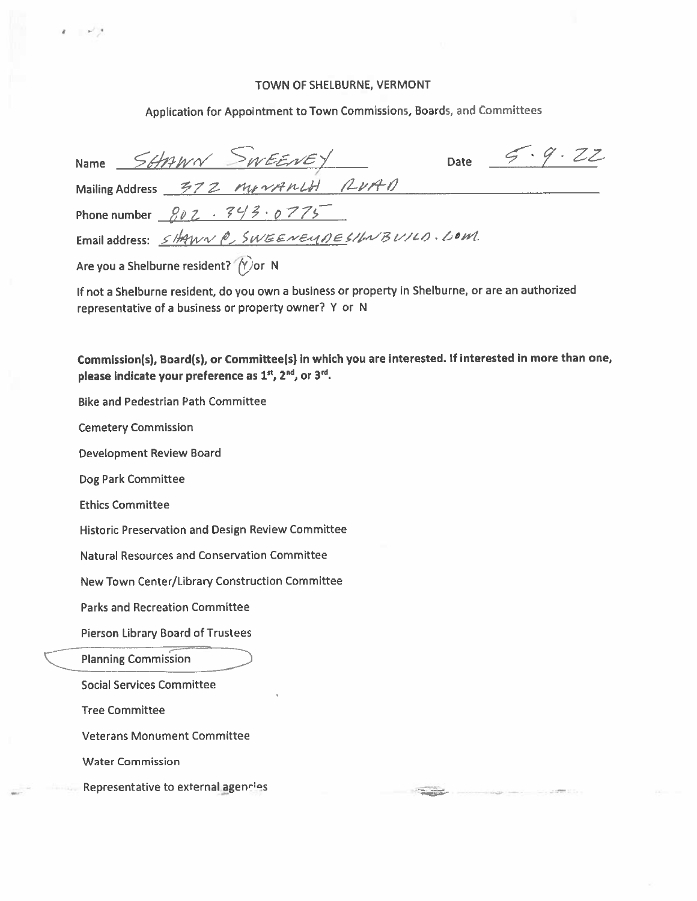#### TOWN OF SHELBURNE, VERMONT

### Application for Appointment to Town Commissions, Boards, and Committees

| Name SHAWN SWEENEY                              | Date $5.9.22$ |
|-------------------------------------------------|---------------|
| Mailing Address 372 MorANLH RVAD                |               |
| Phone number $902 \cdot 793 \cdot 0775$         |               |
| Email address: SHAWN P, SWEENEYDESILNBUILD. LOM |               |
| Are you a Shelburne resident? Nor N             |               |

If not a Shelburne resident, do you own a business or property in Shelburne, or are an authorized representative of a business or property owner? Y or N

Commission(s), Board(s), or Committee(s) in which you are interested. If interested in more than one, please indicate your preference as 1<sup>st</sup>, 2<sup>nd</sup>, or 3<sup>rd</sup>.

**Bike and Pedestrian Path Committee** 

**Cemetery Commission** 

 $-1$ 

**Development Review Board** 

Dog Park Committee

**Ethics Committee** 

Historic Preservation and Design Review Committee

**Natural Resources and Conservation Committee** 

New Town Center/Library Construction Committee

**Parks and Recreation Committee** 

**Pierson Library Board of Trustees** 

**Planning Commission** 

**Social Services Committee** 

**Tree Committee** 

**Veterans Monument Committee** 

**Water Commission** 

Representative to external agencies

 $\frac{1}{\sqrt{2}}\frac{1}{\sqrt{2}}\frac{1}{\sqrt{2}}\frac{1}{\sqrt{2}}\frac{1}{\sqrt{2}}\frac{1}{\sqrt{2}}\frac{1}{\sqrt{2}}\frac{1}{\sqrt{2}}\frac{1}{\sqrt{2}}\frac{1}{\sqrt{2}}\frac{1}{\sqrt{2}}\frac{1}{\sqrt{2}}\frac{1}{\sqrt{2}}\frac{1}{\sqrt{2}}\frac{1}{\sqrt{2}}\frac{1}{\sqrt{2}}\frac{1}{\sqrt{2}}\frac{1}{\sqrt{2}}\frac{1}{\sqrt{2}}\frac{1}{\sqrt{2}}\frac{1}{\sqrt{2}}\frac{1}{\sqrt{2}}$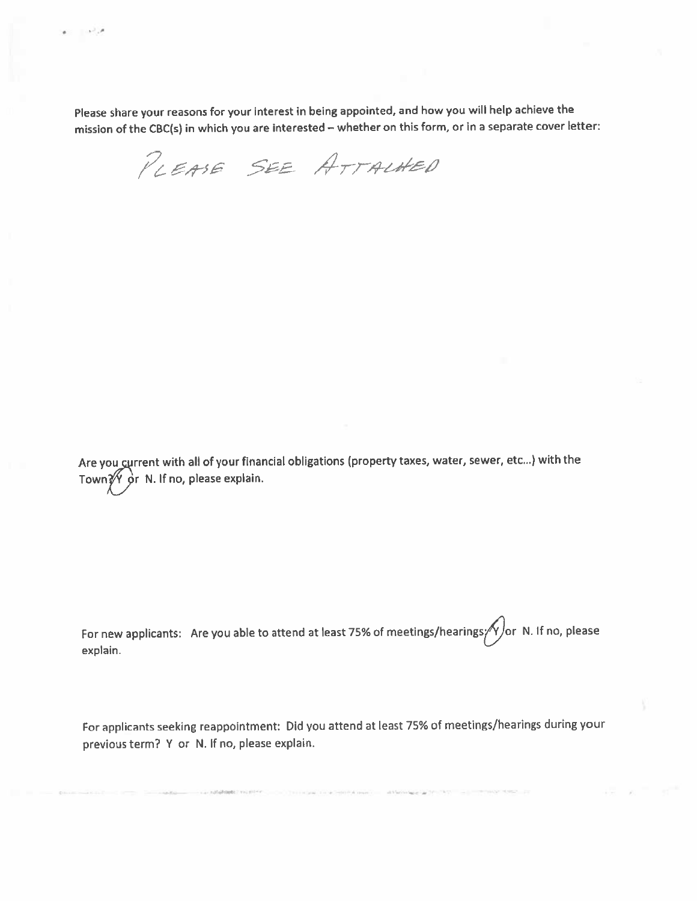Please share your reasons for your interest in being appointed, and how you will help achieve the mission of the CBC(s) in which you are interested - whether on this form, or in a separate cover letter:

PLEASE SEE ATTALHED

 $-1 - 1$ 

Are you current with all of your financial obligations (property taxes, water, sewer, etc...) with the Town $\mathscr{W}$  or N. If no, please explain.

For new applicants: Are you able to attend at least 75% of meetings/hearings $\sqrt{\frac{1}{\pi}}$  or N. If no, please explain.

For applicants seeking reappointment: Did you attend at least 75% of meetings/hearings during your previous term? Y or N. If no, please explain.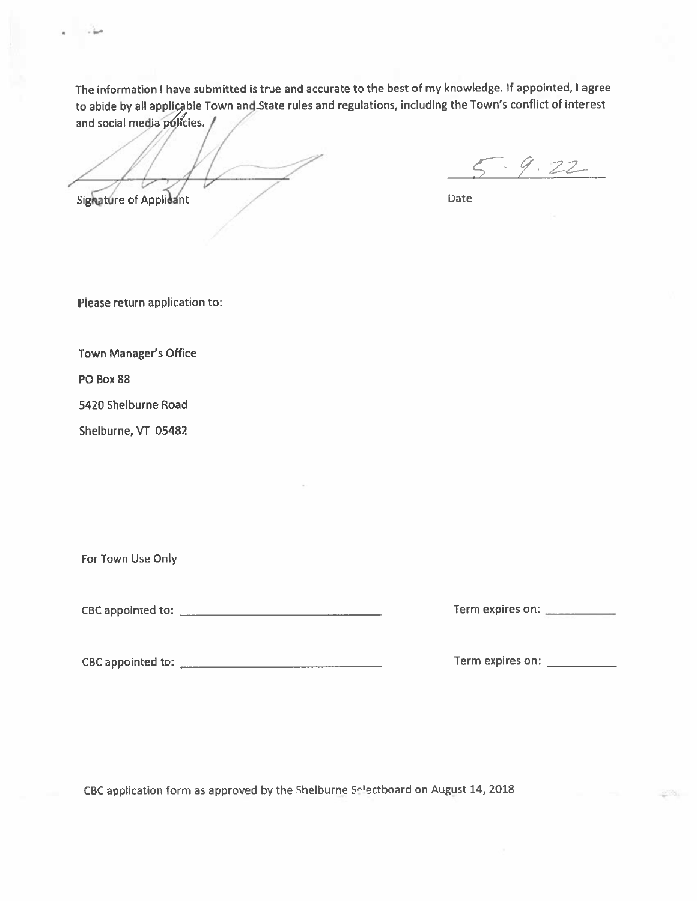The information I have submitted is true and accurate to the best of my knowledge. If appointed, I agree to abide by all applicable Town and State rules and regulations, including the Town's conflict of interest and social media policies.

**Signature of Applicant** 

 $5.9.22$ 

**Date** 

Please return application to:

Town Manager's Office

PO Box 88

5420 Shelburne Road

Shelburne, VT 05482

For Town Use Only

Term expires on: \_\_\_\_\_\_\_\_\_\_\_

CBC application form as approved by the Shelburne Selectboard on August 14, 2018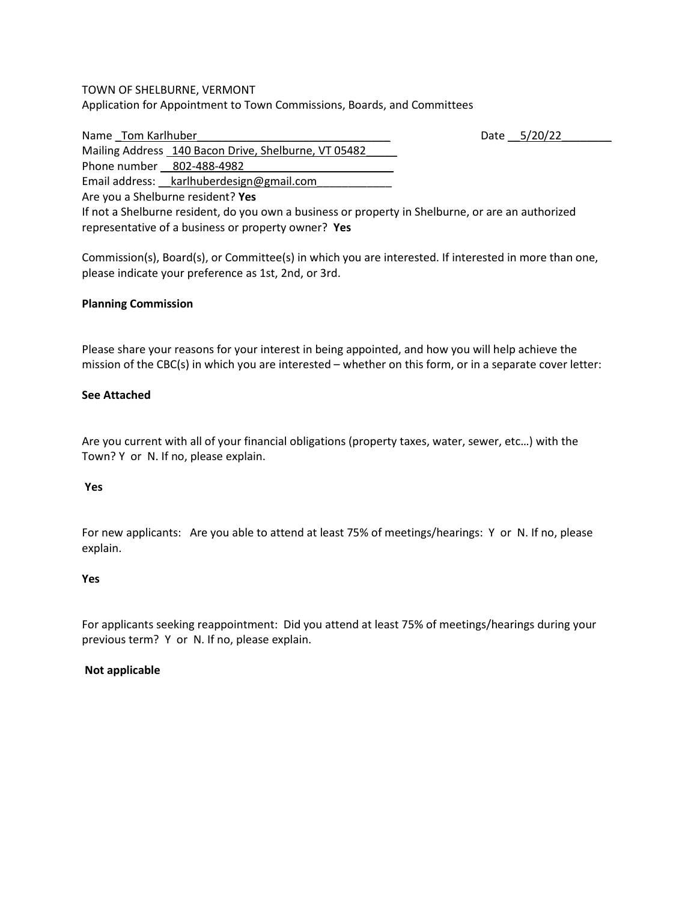#### TOWN OF SHELBURNE, VERMONT

Application for Appointment to Town Commissions, Boards, and Committees

| Name Tom Karlhuber                                                                                | Date 5/20/22 |
|---------------------------------------------------------------------------------------------------|--------------|
| Mailing Address 140 Bacon Drive, Shelburne, VT 05482                                              |              |
| Phone number 802-488-4982                                                                         |              |
| Email address: karlhuberdesign@gmail.com                                                          |              |
| Are you a Shelburne resident? Yes                                                                 |              |
| If not a Shelburne resident, do you own a business or property in Shelburne, or are an authorized |              |
| representative of a business or property owner? Yes                                               |              |

Commission(s), Board(s), or Committee(s) in which you are interested. If interested in more than one, please indicate your preference as 1st, 2nd, or 3rd.

#### **Planning Commission**

Please share your reasons for your interest in being appointed, and how you will help achieve the mission of the CBC(s) in which you are interested – whether on this form, or in a separate cover letter:

#### **See Attached**

Are you current with all of your financial obligations (property taxes, water, sewer, etc…) with the Town? Y or N. If no, please explain.

#### **Yes**

For new applicants: Are you able to attend at least 75% of meetings/hearings: Y or N. If no, please explain.

#### **Yes**

For applicants seeking reappointment: Did you attend at least 75% of meetings/hearings during your previous term? Y or N. If no, please explain.

#### **Not applicable**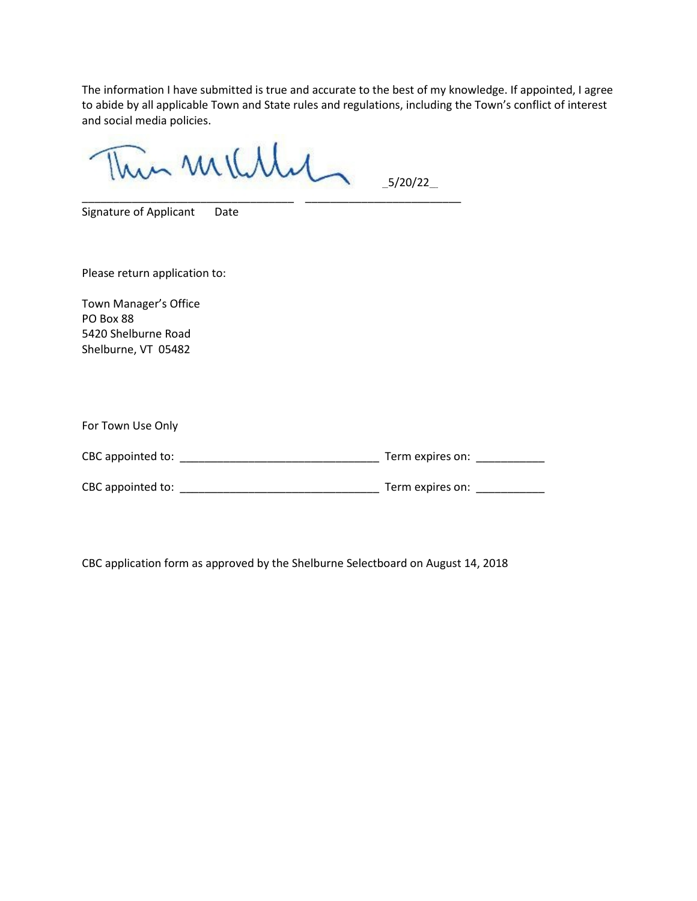The information I have submitted is true and accurate to the best of my knowledge. If appointed, I agree to abide by all applicable Town and State rules and regulations, including the Town's conflict of interest and social media policies.

hin militie

\_\_\_\_\_\_\_\_\_\_\_\_\_\_\_\_\_\_\_\_\_\_\_\_\_\_\_\_\_\_\_\_\_\_ \_\_\_\_\_\_\_\_\_\_\_\_\_\_\_\_\_\_\_\_\_\_\_\_\_

\_5/20/22\_\_

Signature of Applicant Date

Please return application to:

Town Manager's Office PO Box 88 5420 Shelburne Road Shelburne, VT 05482

| For Town Use Only |                  |  |
|-------------------|------------------|--|
| CBC appointed to: | Term expires on: |  |
| CBC appointed to: | Term expires on: |  |

CBC application form as approved by the Shelburne Selectboard on August 14, 2018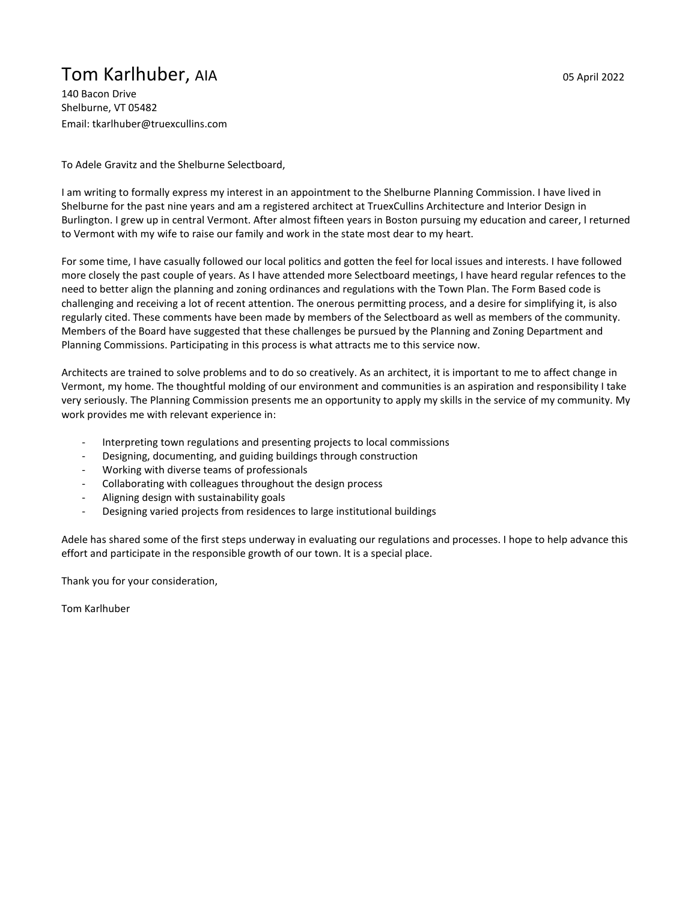# Tom Karlhuber, AIA 05 April 2022

140 Bacon Drive Shelburne, VT 05482 Email: tkarlhuber@truexcullins.com

To Adele Gravitz and the Shelburne Selectboard,

I am writing to formally express my interest in an appointment to the Shelburne Planning Commission. I have lived in Shelburne for the past nine years and am a registered architect at TruexCullins Architecture and Interior Design in Burlington. I grew up in central Vermont. After almost fifteen years in Boston pursuing my education and career, I returned to Vermont with my wife to raise our family and work in the state most dear to my heart.

For some time, I have casually followed our local politics and gotten the feel for local issues and interests. I have followed more closely the past couple of years. As I have attended more Selectboard meetings, I have heard regular refences to the need to better align the planning and zoning ordinances and regulations with the Town Plan. The Form Based code is challenging and receiving a lot of recent attention. The onerous permitting process, and a desire for simplifying it, is also regularly cited. These comments have been made by members of the Selectboard as well as members of the community. Members of the Board have suggested that these challenges be pursued by the Planning and Zoning Department and Planning Commissions. Participating in this process is what attracts me to this service now.

Architects are trained to solve problems and to do so creatively. As an architect, it is important to me to affect change in Vermont, my home. The thoughtful molding of our environment and communities is an aspiration and responsibility I take very seriously. The Planning Commission presents me an opportunity to apply my skills in the service of my community. My work provides me with relevant experience in:

- Interpreting town regulations and presenting projects to local commissions
- Designing, documenting, and guiding buildings through construction
- Working with diverse teams of professionals
- Collaborating with colleagues throughout the design process
- Aligning design with sustainability goals
- Designing varied projects from residences to large institutional buildings

Adele has shared some of the first steps underway in evaluating our regulations and processes. I hope to help advance this effort and participate in the responsible growth of our town. It is a special place.

Thank you for your consideration,

Tom Karlhuber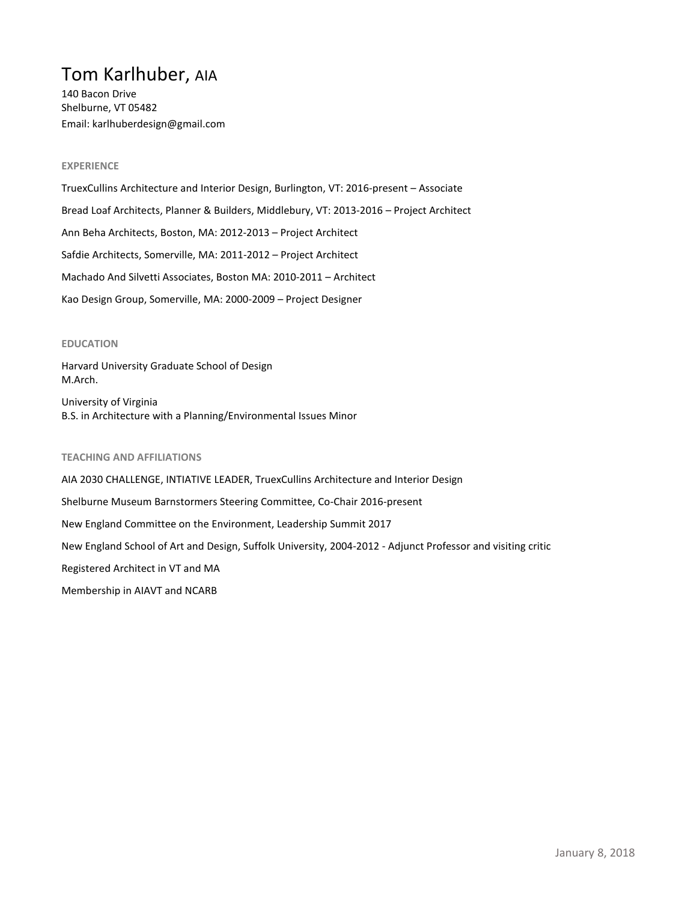# Tom Karlhuber, AIA

140 Bacon Drive Shelburne, VT 05482 Email: karlhuberdesign@gmail.com

#### **EXPERIENCE**

TruexCullins Architecture and Interior Design, Burlington, VT: 2016-present – Associate Bread Loaf Architects, Planner & Builders, Middlebury, VT: 2013-2016 – Project Architect Ann Beha Architects, Boston, MA: 2012-2013 – Project Architect Safdie Architects, Somerville, MA: 2011-2012 – Project Architect Machado And Silvetti Associates, Boston MA: 2010-2011 – Architect Kao Design Group, Somerville, MA: 2000-2009 – Project Designer

#### **EDUCATION**

Harvard University Graduate School of Design M.Arch.

University of Virginia B.S. in Architecture with a Planning/Environmental Issues Minor

#### **TEACHING AND AFFILIATIONS**

AIA 2030 CHALLENGE, INTIATIVE LEADER, TruexCullins Architecture and Interior Design Shelburne Museum Barnstormers Steering Committee, Co-Chair 2016-present New England Committee on the Environment, Leadership Summit 2017 New England School of Art and Design, Suffolk University, 2004-2012 - Adjunct Professor and visiting critic Registered Architect in VT and MA Membership in AIAVT and NCARB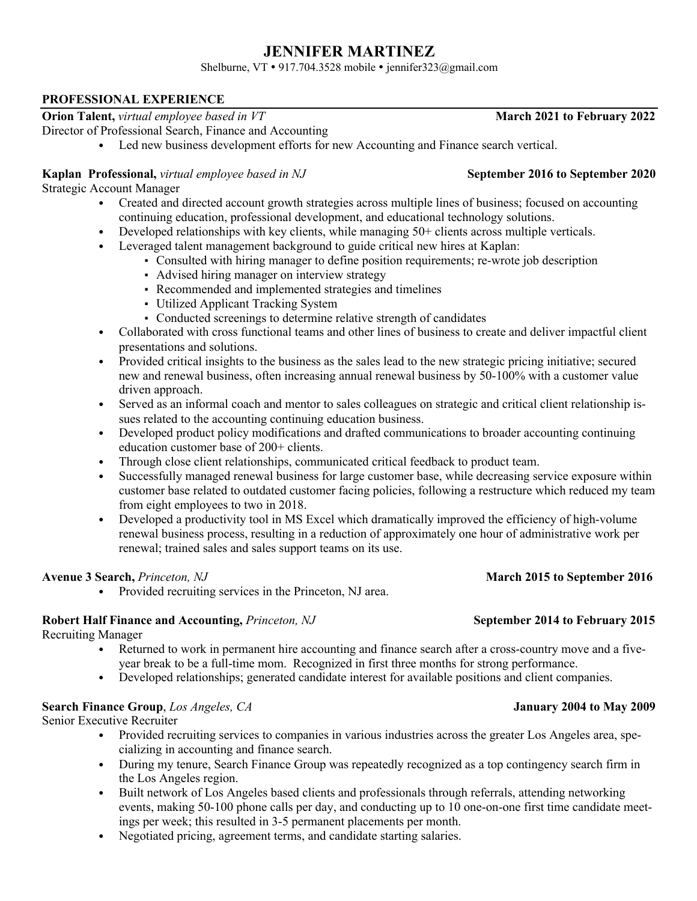# **JENNIFER MARTINEZ**

Shelburne, VT • 917.704.3528 mobile • jennifer323@gmail.com

#### **PROFESSIONAL EXPERIENCE**

**Orion Talent,** *virtual employee based in VT* **March 2021 to February 2022**

Director of Professional Search, Finance and Accounting

• Led new business development efforts for new Accounting and Finance search vertical.

#### **Kaplan Professional,** *virtual employee based in NJ* **September 2016 to September 2020**

Strategic Account Manager

- Created and directed account growth strategies across multiple lines of business; focused on accounting continuing education, professional development, and educational technology solutions.
- Developed relationships with key clients, while managing 50+ clients across multiple verticals.
- Leveraged talent management background to guide critical new hires at Kaplan:
	- Consulted with hiring manager to define position requirements; re-wrote job description
		- Advised hiring manager on interview strategy
		- Recommended and implemented strategies and timelines
		- Utilized Applicant Tracking System
	- Conducted screenings to determine relative strength of candidates
- Collaborated with cross functional teams and other lines of business to create and deliver impactful client presentations and solutions.
- Provided critical insights to the business as the sales lead to the new strategic pricing initiative; secured new and renewal business, often increasing annual renewal business by 50-100% with a customer value driven approach.
- Served as an informal coach and mentor to sales colleagues on strategic and critical client relationship issues related to the accounting continuing education business.
- Developed product policy modifications and drafted communications to broader accounting continuing education customer base of 200+ clients.
- Through close client relationships, communicated critical feedback to product team.
- Successfully managed renewal business for large customer base, while decreasing service exposure within customer base related to outdated customer facing policies, following a restructure which reduced my team from eight employees to two in 2018.
- Developed a productivity tool in MS Excel which dramatically improved the efficiency of high-volume renewal business process, resulting in a reduction of approximately one hour of administrative work per renewal; trained sales and sales support teams on its use.

#### **Avenue 3 Search,** *Princeton, NJ* **March 2015 to September 2016**

• Provided recruiting services in the Princeton, NJ area.

#### **Robert Half Finance and Accounting,** *Princeton, NJ* **September 2014 to February 2015** Recruiting Manager

- Returned to work in permanent hire accounting and finance search after a cross-country move and a fiveyear break to be a full-time mom. Recognized in first three months for strong performance.
- Developed relationships; generated candidate interest for available positions and client companies.

### **Search Finance Group**, *Los Angeles, CA* **January 2004 to May 2009**

Senior Executive Recruiter

- Provided recruiting services to companies in various industries across the greater Los Angeles area, specializing in accounting and finance search.
- During my tenure, Search Finance Group was repeatedly recognized as a top contingency search firm in the Los Angeles region.
- Built network of Los Angeles based clients and professionals through referrals, attending networking events, making 50-100 phone calls per day, and conducting up to 10 one-on-one first time candidate meetings per week; this resulted in 3-5 permanent placements per month.
- Negotiated pricing, agreement terms, and candidate starting salaries.